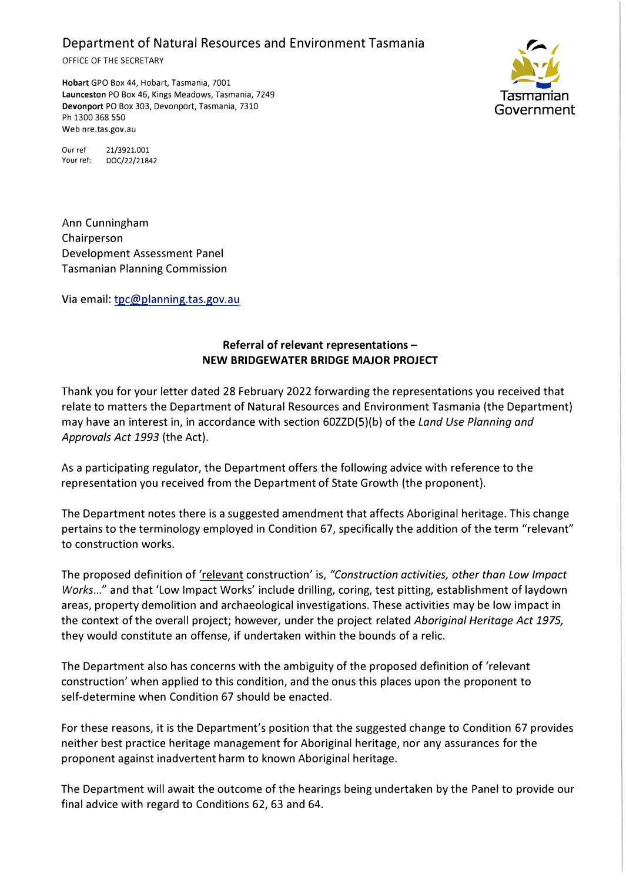Department of Natural Resources and Environment Tasmania

OFFICE OF THE SECRETARY

**Hobart** GPO Box 44, Hobart, Tasmania, 7001 **Launceston** PO Box 46, Kings Meadows, Tasmania, 7249 **Devonport** PO Box 303, Devonport, Tasmania, 7310 Ph 1300 368 550 Web nre.tas.gov.au



Our ref 21/3921.001 Your ref: DOC/22/21842

Ann Cunningham Chairperson Development Assessment Panel Tasmanian Planning Commission

Via email: tpc@planning.tas.gov.au

## **Referral of relevant representations - NEW BRIDGEWATER BRIDGE MAJOR PROJECT**

Thank you for your letter dated 28 February 2022 forwarding the representations you received that relate to matters the Department of Natural Resources and Environment Tasmania (the Department) may have an interest in, in accordance with section 60ZZD(5)(b) of the *Land Use Planning and Approvals Act 1993* (the Act).

As a participating regulator, the Department offers the following advice with reference to the representation you received from the Department of State Growth (the proponent).

The Department notes there is a suggested amendment that affects Aboriginal heritage. This change pertains to the terminology employed in Condition 67, specifically the addition of the term "relevant" to construction works.

The proposed definition of 'relevant construction' is, *"Construction activities, other than Low Impact Works ... "* and that 'Low Impact Works' include drilling, coring, test pitting, establishment of laydown areas, property demolition and archaeological investigations. These activities may be low impact in the context of the overall project; however, under the project related *Aboriginal Heritage Act 1975,*  they would constitute an offense, if undertaken within the bounds of a relic.

The Department also has concerns with the ambiguity of the proposed definition of 'relevant construction' when applied to this condition, and the onus this places upon the proponent to self-determine when Condition 67 should be enacted.

For these reasons, it is the Department's position that the suggested change to Condition 67 provides neither best practice heritage management for Aboriginal heritage, nor any assurances for the proponent against inadvertent harm to known Aboriginal heritage.

The Department will await the outcome of the hearings being undertaken by the Panel to provide our final advice with regard to Conditions 62, 63 and 64.